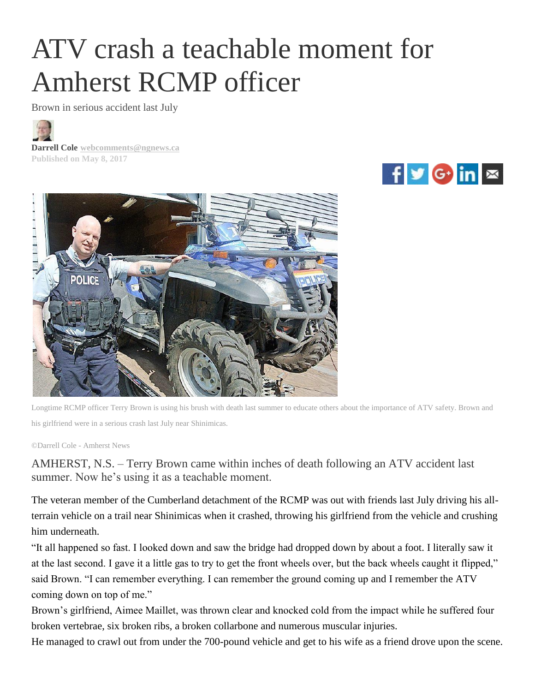## ATV crash a teachable moment for Amherst RCMP officer

Brown in serious accident last July



**Darrell Cole [webcomments@ngnews.ca](mailto:webcomments@ngnews.ca) Published on May 8, 2017**





Longtime RCMP officer Terry Brown is using his brush with death last summer to educate others about the importance of ATV safety. Brown and his girlfriend were in a serious crash last July near Shinimicas.

©Darrell Cole - Amherst News

AMHERST, N.S. – Terry Brown came within inches of death following an ATV accident last summer. Now he's using it as a teachable moment.

The veteran member of the Cumberland detachment of the RCMP was out with friends last July driving his allterrain vehicle on a trail near Shinimicas when it crashed, throwing his girlfriend from the vehicle and crushing him underneath.

"It all happened so fast. I looked down and saw the bridge had dropped down by about a foot. I literally saw it at the last second. I gave it a little gas to try to get the front wheels over, but the back wheels caught it flipped," said Brown. "I can remember everything. I can remember the ground coming up and I remember the ATV coming down on top of me."

Brown's girlfriend, Aimee Maillet, was thrown clear and knocked cold from the impact while he suffered four broken vertebrae, six broken ribs, a broken collarbone and numerous muscular injuries.

He managed to crawl out from under the 700-pound vehicle and get to his wife as a friend drove upon the scene.